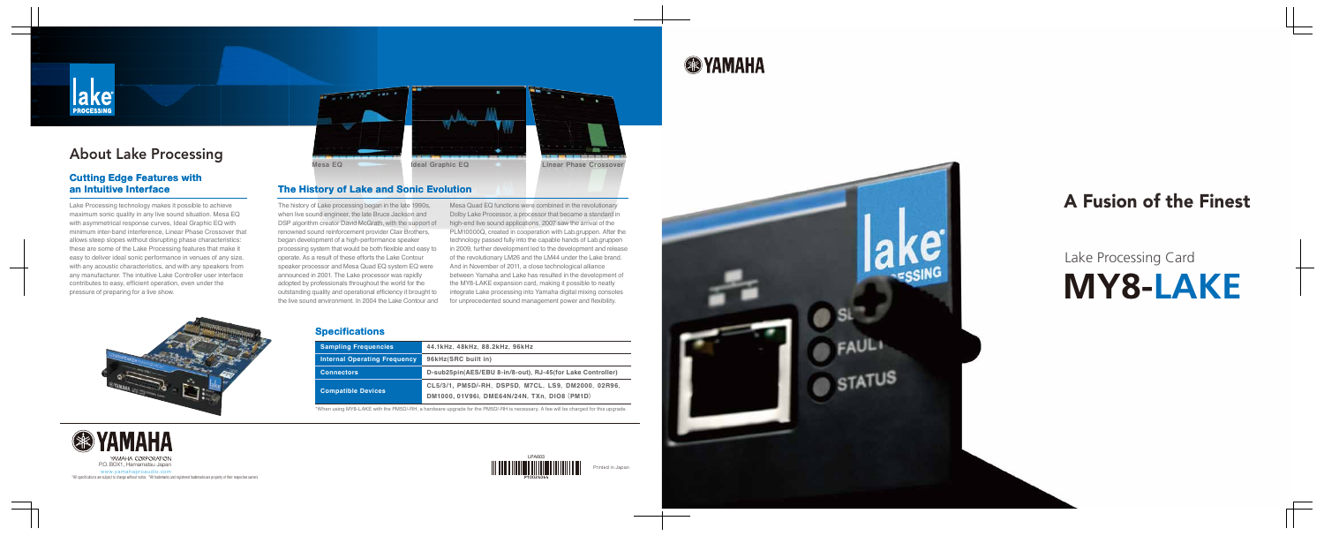# **MY8-LAKE** Lake Processing Card

Mesa Quad EQ functions were combined in the revolutionary Dolby Lake Processor, a processor that became a standard in high-end live sound applications. 2007 saw the arrival of the PLM10000Q, created in cooperation with Lab.gruppen. After the technology passed fully into the capable hands of Lab.gruppen in 2009, further development led to the development and release of the revolutionary LM26 and the LM44 under the Lake brand. And in November of 2011, a close technological alliance between Yamaha and Lake has resulted in the development of the MY8-LAKE expansion card, making it possible to neatly integrate Lake processing into Yamaha digital mixing consoles for unprecedented sound management power and flexibility.



The history of Lake processing began in the late 1990s, when live sound engineer, the late Bruce Jackson and DSP algorithm creator David McGrath, with the support of renowned sound reinforcement provider Clair Brothers, began development of a high-performance speaker processing system that would be both flexible and easy to operate. As a result of these efforts the Lake Contour speaker processor and Mesa Quad EQ system EQ were announced in 2001. The Lake processor was rapidly adopted by professionals throughout the world for the outstanding quality and operational efficiency it brought to the live sound environment. In 2004 the Lake Contour and

# A Fusion of the Finest

# **SSYAMAHA**



# About Lake Processing

### **The History of Lake and Sonic Evolution**

### **Cutting Edge Features with an Intuitive Interface**

Lake Processing technology makes it possible to achieve maximum sonic quality in any live sound situation. Mesa EQ with asymmetrical response curves, Ideal Graphic EQ with minimum inter-band interference, Linear Phase Crossover that allows steep slopes without disrupting phase characteristics: these are some of the Lake Processing features that make it easy to deliver ideal sonic performance in venues of any size, with any acoustic characteristics, and with any speakers from any manufacturer. The intuitive Lake Controller user interface contributes to easy, efficient operation, even under the pressure of preparing for a live show.







### **Specifications**

| <b>Sampling Frequencies</b>         | 44.1kHz, 48kHz, 88.2kHz, 96kHz                                                                      |
|-------------------------------------|-----------------------------------------------------------------------------------------------------|
| <b>Internal Operating Frequency</b> | 96kHz(SRC built in)                                                                                 |
| <b>Connectors</b>                   | D-sub25pin(AES/EBU 8-in/8-out), RJ-45(for Lake Controller)                                          |
| <b>Compatible Devices</b>           | CL5/3/1, PM5D/-RH, DSP5D, M7CL, LS9, DM2000, 02R96,<br>DM1000, 01V96i, DME64N/24N, TXn, DIO8 (PM1D) |





\*When using MY8-LAKE with the PM5D/-RH, a hardware upgrade for the PM5D/-RH is necessary. A fee will be charged for this upgrade.



YAMAHA CORPORATION

\*\*<br>\*All specifications are subject to change without notice. \*All trademarks and registered trademarks are property of their respective owners.<br>\*All specifications are subject to change without notice. \*All trademarks and www.yamahaproaudio.com